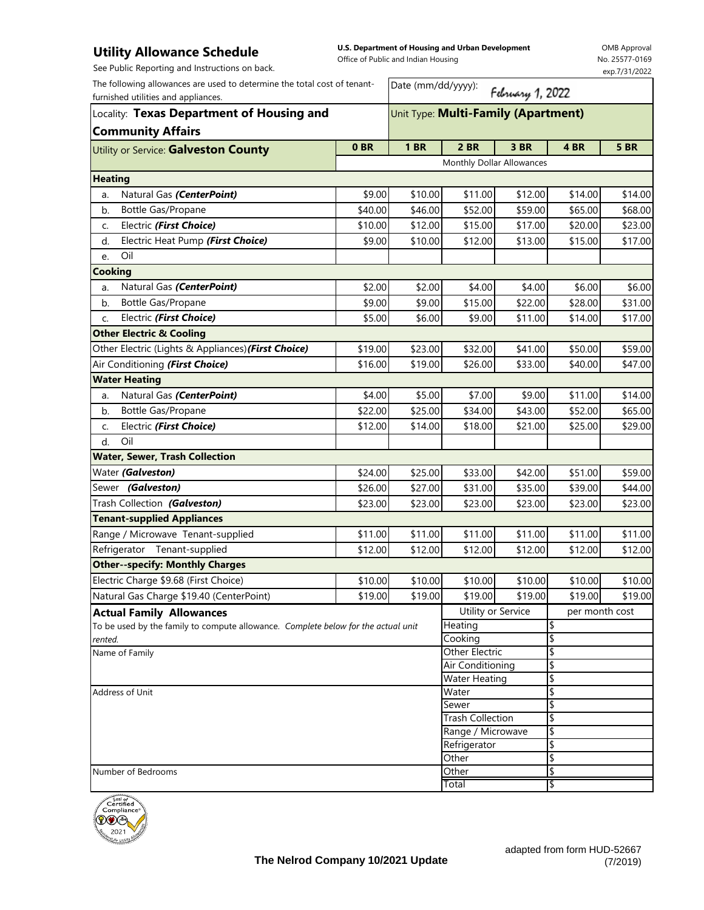## **Utility Allowance Schedule**

See Public Reporting and Instructions on back.

**U.S. Department of Housing and Urban Development**  Office of Public and Indian Housing

OMB Approval No. 25577-0169 exp.7/31/2022

| The following allowances are used to determine the total cost of tenant-<br>furnished utilities and appliances.<br>Locality: Texas Department of Housing and |         | Date (mm/dd/yyyy):<br>February 1, 2022<br>Unit Type: Multi-Family (Apartment) |                           |                         |                |             |  |
|--------------------------------------------------------------------------------------------------------------------------------------------------------------|---------|-------------------------------------------------------------------------------|---------------------------|-------------------------|----------------|-------------|--|
|                                                                                                                                                              |         |                                                                               |                           |                         |                |             |  |
| Utility or Service: Galveston County                                                                                                                         | 0BR     | <b>1 BR</b>                                                                   | <b>2 BR</b>               | <b>3 BR</b>             | 4BR            | <b>5 BR</b> |  |
|                                                                                                                                                              |         |                                                                               | Monthly Dollar Allowances |                         |                |             |  |
| <b>Heating</b>                                                                                                                                               |         |                                                                               |                           |                         |                |             |  |
| Natural Gas (CenterPoint)<br>a.                                                                                                                              | \$9.00  | \$10.00                                                                       | \$11.00                   | \$12.00                 | \$14.00        | \$14.00     |  |
| Bottle Gas/Propane<br>b.                                                                                                                                     | \$40.00 | \$46.00                                                                       | \$52.00                   | \$59.00                 | \$65.00        | \$68.00     |  |
| Electric (First Choice)<br>c.                                                                                                                                | \$10.00 | \$12.00                                                                       | \$15.00                   | \$17.00                 | \$20.00        | \$23.00     |  |
| Electric Heat Pump (First Choice)<br>d.                                                                                                                      | \$9.00  | \$10.00                                                                       | \$12.00                   | \$13.00                 | \$15.00        | \$17.00     |  |
| Oil<br>e.                                                                                                                                                    |         |                                                                               |                           |                         |                |             |  |
| <b>Cooking</b>                                                                                                                                               |         |                                                                               |                           |                         |                |             |  |
| Natural Gas (CenterPoint)<br>a.                                                                                                                              | \$2.00  | \$2.00                                                                        | \$4.00                    | \$4.00                  | \$6.00         | \$6.00      |  |
| Bottle Gas/Propane<br>b.                                                                                                                                     | \$9.00  | \$9.00                                                                        | \$15.00                   | \$22.00                 | \$28.00        | \$31.00     |  |
| Electric (First Choice)<br>C.                                                                                                                                | \$5.00  | \$6.00                                                                        | \$9.00                    | \$11.00                 | \$14.00        | \$17.00     |  |
| <b>Other Electric &amp; Cooling</b>                                                                                                                          |         |                                                                               |                           |                         |                |             |  |
| Other Electric (Lights & Appliances) (First Choice)                                                                                                          | \$19.00 | \$23.00                                                                       | \$32.00                   | \$41.00                 | \$50.00        | \$59.00     |  |
| Air Conditioning (First Choice)                                                                                                                              | \$16.00 | \$19.00                                                                       | \$26.00                   | \$33.00                 | \$40.00        | \$47.00     |  |
| <b>Water Heating</b>                                                                                                                                         |         |                                                                               |                           |                         |                |             |  |
| Natural Gas (CenterPoint)<br>a.                                                                                                                              | \$4.00  | \$5.00                                                                        | \$7.00                    | \$9.00                  | \$11.00        | \$14.00     |  |
| Bottle Gas/Propane<br>b.                                                                                                                                     | \$22.00 | \$25.00                                                                       | \$34.00                   | \$43.00                 | \$52.00        | \$65.00     |  |
| Electric (First Choice)<br>C.                                                                                                                                | \$12.00 | \$14.00                                                                       | \$18.00                   | \$21.00                 | \$25.00        | \$29.00     |  |
| Oil<br>d.                                                                                                                                                    |         |                                                                               |                           |                         |                |             |  |
| <b>Water, Sewer, Trash Collection</b>                                                                                                                        |         |                                                                               |                           |                         |                |             |  |
| Water (Galveston)                                                                                                                                            | \$24.00 | \$25.00                                                                       | \$33.00                   | \$42.00                 | \$51.00        | \$59.00     |  |
| Sewer (Galveston)                                                                                                                                            | \$26.00 | \$27.00                                                                       | \$31.00                   | \$35.00                 | \$39.00        | \$44.00     |  |
| Trash Collection (Galveston)                                                                                                                                 | \$23.00 | \$23.00                                                                       | \$23.00                   | \$23.00                 | \$23.00        | \$23.00     |  |
| <b>Tenant-supplied Appliances</b>                                                                                                                            |         |                                                                               |                           |                         |                |             |  |
| Range / Microwave Tenant-supplied                                                                                                                            | \$11.00 | \$11.00                                                                       | \$11.00                   | \$11.00                 | \$11.00        | \$11.00     |  |
| Refrigerator Tenant-supplied                                                                                                                                 | \$12.00 | \$12.00                                                                       | \$12.00                   | \$12.00                 | \$12.00        | \$12.00     |  |
| <b>Other--specify: Monthly Charges</b>                                                                                                                       |         |                                                                               |                           |                         |                |             |  |
| Electric Charge \$9.68 (First Choice)                                                                                                                        | \$10.00 | \$10.00                                                                       | \$10.00                   | \$10.00                 | \$10.00        | \$10.00     |  |
| Natural Gas Charge \$19.40 (CenterPoint)                                                                                                                     | \$19.00 | \$19.00                                                                       | \$19.00                   | \$19.00                 | \$19.00        | \$19.00     |  |
| <b>Actual Family Allowances</b>                                                                                                                              |         |                                                                               | Utility or Service        |                         | per month cost |             |  |
| To be used by the family to compute allowance. Complete below for the actual unit                                                                            |         |                                                                               | Heating                   |                         | \$             |             |  |
| rented.<br>Name of Family                                                                                                                                    |         |                                                                               | Cooking<br>Other Electric |                         | \$<br>\$       |             |  |
|                                                                                                                                                              |         |                                                                               | Air Conditioning          |                         | \$             |             |  |
|                                                                                                                                                              |         |                                                                               | Water Heating             |                         | \$             |             |  |
| Address of Unit                                                                                                                                              |         |                                                                               | Water                     |                         | \$             |             |  |
|                                                                                                                                                              |         |                                                                               |                           | Sewer                   |                | \$          |  |
|                                                                                                                                                              |         |                                                                               |                           | <b>Trash Collection</b> |                | \$          |  |
|                                                                                                                                                              |         |                                                                               |                           | Range / Microwave       |                | \$          |  |
|                                                                                                                                                              |         |                                                                               | Refrigerator<br>Other     |                         | \$<br>\$       |             |  |
| Number of Bedrooms                                                                                                                                           |         |                                                                               | Other                     |                         | \$             |             |  |
|                                                                                                                                                              |         |                                                                               | Total                     |                         | \$             |             |  |
| ينتبسسين                                                                                                                                                     |         |                                                                               |                           |                         |                |             |  |